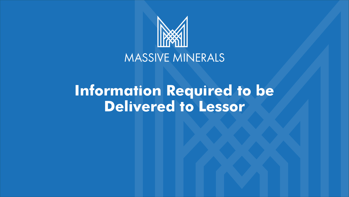

#### MASSIVE MINERALS

#### **Information Required to be Delivered to Lessor**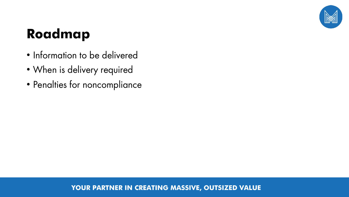

### **Roadmap**

- Information to be delivered
- When is delivery required
- Penalties for noncompliance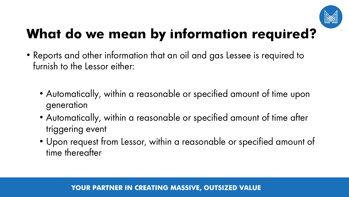

# **What do we mean by information required?**

- Reports and other information that an oil and gas Lessee is required to furnish to the Lessor either:
	- Automatically, within a reasonable or specified amount of time upon generation
	- Automatically, within a reasonable or specified amount of time after triggering event
	- Upon request from Lessor, within a reasonable or specified amount of time thereafter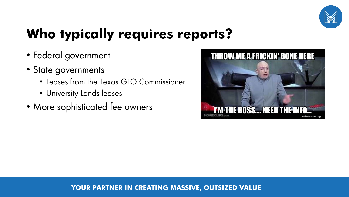

# **Who typically requires reports?**

- Federal government
- State governments
	- Leases from the Texas GLO Commissioner
	- University Lands leases
- More sophisticated fee owners

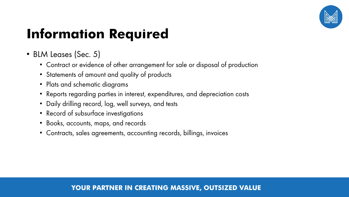

- BLM Leases (Sec. 5)
	- Contract or evidence of other arrangement for sale or disposal of production
	- Statements of amount and quality of products
	- Plats and schematic diagrams
	- Reports regarding parties in interest, expenditures, and depreciation costs
	- Daily drilling record, log, well surveys, and tests
	- Record of subsurface investigations
	- Books, accounts, maps, and records
	- Contracts, sales agreements, accounting records, billings, invoices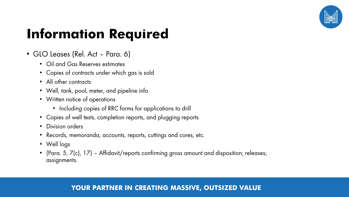

- GLO Leases (Rel. Act Para. 6)
	- Oil and Gas Reserves estimates
	- Copies of contracts under which gas is sold
	- All other contracts
	- Well, tank, pool, meter, and pipeline info
	- Written notice of operations
		- Including copies of RRC forms for applications to drill
	- Copies of well tests, completion reports, and plugging reports
	- Division orders
	- Records, memoranda, accounts, reports, cuttings and cores, etc.
	- Well logs
	- (Para. 5, 7(c), 17) Affidavit/reports confirming gross amount and disposition; releases; assignments.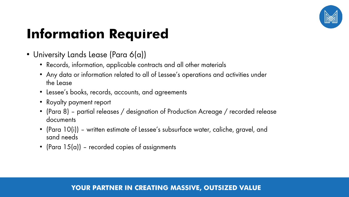

- University Lands Lease (Para 6(a))
	- Records, information, applicable contracts and all other materials
	- Any data or information related to all of Lessee's operations and activities under the Lease
	- Lessee's books, records, accounts, and agreements
	- Royalty payment report
	- (Para 8) partial releases / designation of Production Acreage / recorded release documents
	- (Para 10(i)) written estimate of Lessee's subsurface water, caliche, gravel, and sand needs
	- (Para  $15(a)$ ) recorded copies of assignments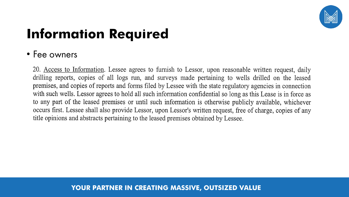

#### • Fee owners

20. Access to Information. Lessee agrees to furnish to Lessor, upon reasonable written request, daily drilling reports, copies of all logs run, and surveys made pertaining to wells drilled on the leased premises, and copies of reports and forms filed by Lessee with the state regulatory agencies in connection with such wells. Lessor agrees to hold all such information confidential so long as this Lease is in force as to any part of the leased premises or until such information is otherwise publicly available, whichever occurs first. Lessee shall also provide Lessor, upon Lessor's written request, free of charge, copies of any title opinions and abstracts pertaining to the leased premises obtained by Lessee.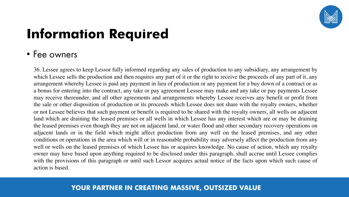

#### • Fee owners

36. Lessee agrees to keep Lessor fully informed regarding any sales of production to any subsidiary, any arrangement by which Lessee sells the production and then requires any part of it or the right to receive the proceeds of any part of it, any arrangement whereby Lessee is paid any payment in lieu of production or any payment for a buy down of a contract or as a bonus for entering into the contract, any take or pay agreement Lessee may make and any take or pay payments Lessee may receive thereunder, and all other agreements and arrangements whereby Lessee receives any benefit or profit from the sale or other disposition of production or its proceeds which Lessee does not share with the royalty owners, whether or not Lessee believes that such payment or benefit is required to be shared with the royalty owners, all wells on adjacent land which are draining the leased premises or all wells in which Lessee has any interest which are or may be draining the leased premises even though they are not on adjacent land, or water flood and other secondary recovery operations on adjacent lands or in the field which might affect production from any well on the leased premises, and any other conditions or operations in the area which will or in reasonable probability may adversely affect the production from any well or wells on the leased premises of which Lessee has or acquires knowledge. No cause of action, which any royalty owner may have based upon anything required to be disclosed under this paragraph, shall accrue until Lessee complies with the provisions of this paragraph or until such Lessor acquires actual notice of the facts upon which such cause of action is based.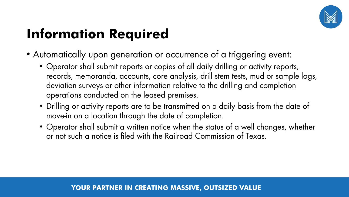

- Automatically upon generation or occurrence of a triggering event:
	- Operator shall submit reports or copies of all daily drilling or activity reports, records, memoranda, accounts, core analysis, drill stem tests, mud or sample logs, deviation surveys or other information relative to the drilling and completion operations conducted on the leased premises.
	- Drilling or activity reports are to be transmitted on a daily basis from the date of move-in on a location through the date of completion.
	- Operator shall submit a written notice when the status of a well changes, whether or not such a notice is filed with the Railroad Commission of Texas.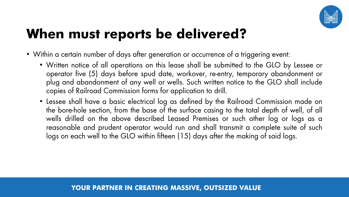

#### **When must reports be delivered?**

- Within a certain number of days after generation or occurrence of a triggering event:
	- Written notice of all operations on this lease shall be submitted to the GLO by Lessee or operator five (5) days before spud date, workover, re-entry, temporary abandonment or plug and abandonment of any well or wells. Such written notice to the GLO shall include copies of Railroad Commission forms for application to drill.
	- Lessee shall have a basic electrical log as defined by the Railroad Commission made on the bore-hole section, from the base of the surface casing to the total depth of well, of all wells drilled on the above described Leased Premises or such other log or logs as a reasonable and prudent operator would run and shall transmit a complete suite of such logs on each well to the GLO within fifteen (15) days after the making of said logs.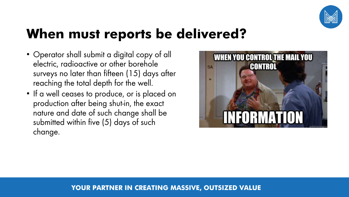

#### **When must reports be delivered?**

- Operator shall submit a digital copy of all electric, radioactive or other borehole surveys no later than fifteen (15) days after reaching the total depth for the well.
- If a well ceases to produce, or is placed on production after being shut-in, the exact nature and date of such change shall be submitted within five (5) days of such change.

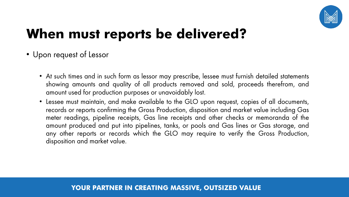

### **When must reports be delivered?**

#### • Upon request of Lessor

- At such times and in such form as lessor may prescribe, lessee must furnish detailed statements showing amounts and quality of all products removed and sold, proceeds therefrom, and amount used for production purposes or unavoidably lost.
- Lessee must maintain, and make available to the GLO upon request, copies of all documents, records or reports confirming the Gross Production, disposition and market value including Gas meter readings, pipeline receipts, Gas line receipts and other checks or memoranda of the amount produced and put into pipelines, tanks, or pools and Gas lines or Gas storage, and any other reports or records which the GLO may require to verify the Gross Production, disposition and market value.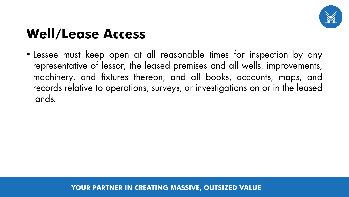

#### **Well/Lease Access**

• Lessee must keep open at all reasonable times for inspection by any representative of lessor, the leased premises and all wells, improvements, machinery, and fixtures thereon, and all books, accounts, maps, and records relative to operations, surveys, or investigations on or in the leased lands.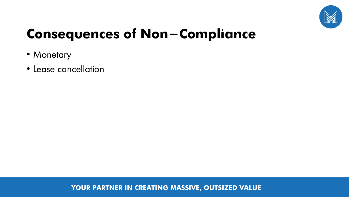

### **Consequences of Non-Compliance**

- Monetary
- Lease cancellation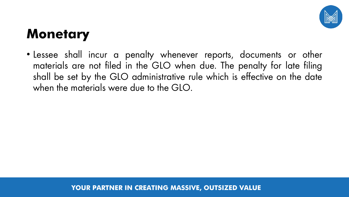

#### **Monetary**

• Lessee shall incur a penalty whenever reports, documents or other materials are not filed in the GLO when due. The penalty for late filing shall be set by the GLO administrative rule which is effective on the date when the materials were due to the GLO.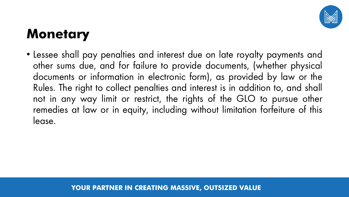

#### **Monetary**

• Lessee shall pay penalties and interest due on late royalty payments and other sums due, and for failure to provide documents, (whether physical documents or information in electronic form), as provided by law or the Rules. The right to collect penalties and interest is in addition to, and shall not in any way limit or restrict, the rights of the GLO to pursue other remedies at law or in equity, including without limitation forfeiture of this lease.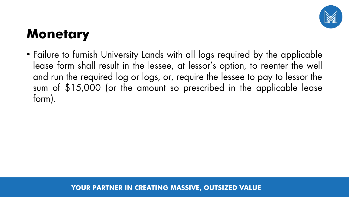

#### **Monetary**

• Failure to furnish University Lands with all logs required by the applicable lease form shall result in the lessee, at lessor's option, to reenter the well and run the required log or logs, or, require the lessee to pay to lessor the sum of \$15,000 (or the amount so prescribed in the applicable lease form).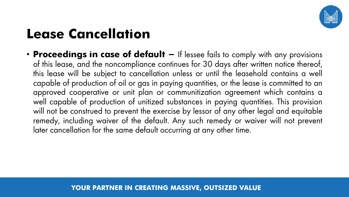

### **Lease Cancellation**

• **Proceedings in case of default -** If lessee fails to comply with any provisions of this lease, and the noncompliance continues for 30 days after written notice thereof, this lease will be subject to cancellation unless or until the leasehold contains a well capable of production of oil or gas in paying quantities, or the lease is committed to an approved cooperative or unit plan or communitization agreement which contains a well capable of production of unitized substances in paying quantities. This provision will not be construed to prevent the exercise by lessor of any other legal and equitable remedy, including waiver of the default. Any such remedy or waiver will not prevent later cancellation for the same default occurring at any other time.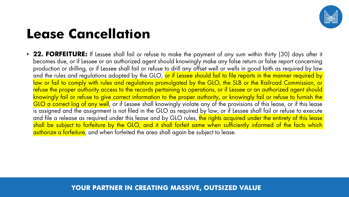

#### **Lease Cancellation**

• **22. FORFEITURE:** If Lessee shall fail or refuse to make the payment of any sum within thirty (30) days after it becomes due, or if Lessee or an authorized agent should knowingly make any false return or false report concerning production or drilling, or if Lessee shall fail or refuse to drill any offset well or wells in good faith as required by law and the rules and regulations adopted by the GLO, or if Lessee should fail to file reports in the manner required by law or fail to comply with rules and regulations promulgated by the GLO, the SLB or the Railroad Commission, or refuse the proper authority access to the records pertaining to operations, or if Lessee or an authorized agent should knowingly fail or refuse to give correct information to the proper authority, or knowingly fail or refuse to furnish the GLO a correct log of any well, or if Lessee shall knowingly violate any of the provisions of this lease, or if this lease is assigned and the assignment is not filed in the GLO as required by law, or if Lessee shall fail or refuse to execute and file a release as required under this lease and by GLO rules, the rights acquired under the entirety of this lease shall be subject to forfeiture by the GLO, and it shall forfeit same when sufficiently informed of the facts which authorize a forfeiture, and when forfeited the area shall again be subject to lease.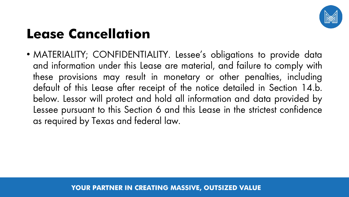

### **Lease Cancellation**

• MATERIALITY; CONFIDENTIALITY. Lessee's obligations to provide data and information under this Lease are material, and failure to comply with these provisions may result in monetary or other penalties, including default of this Lease after receipt of the notice detailed in Section 14.b. below. Lessor will protect and hold all information and data provided by Lessee pursuant to this Section 6 and this Lease in the strictest confidence as required by Texas and federal law.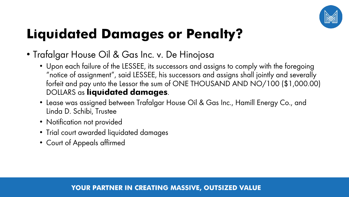

# **Liquidated Damages or Penalty?**

- Trafalgar House Oil & Gas Inc. v. De Hinojosa
	- Upon each failure of the LESSEE, its successors and assigns to comply with the foregoing "notice of assignment", said LESSEE, his successors and assigns shall jointly and severally forfeit and pay unto the Lessor the sum of ONE THOUSAND AND NO/100 (\$1,000.00) DOLLARS as **liquidated damages**.
	- Lease was assigned between Trafalgar House Oil & Gas Inc., Hamill Energy Co., and Linda D. Schibi, Trustee
	- Notification not provided
	- Trial court awarded liquidated damages
	- Court of Appeals affirmed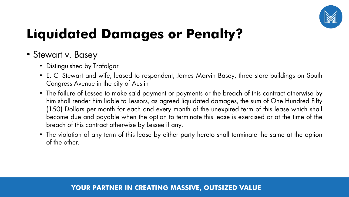

# **Liquidated Damages or Penalty?**

#### • Stewart v. Basey

- Distinguished by Trafalgar
- E. C. Stewart and wife, leased to respondent, James Marvin Basey, three store buildings on South Congress Avenue in the city of Austin
- The failure of Lessee to make said payment or payments or the breach of this contract otherwise by him shall render him liable to Lessors, as agreed liquidated damages, the sum of One Hundred Fifty (150) Dollars per month for each and every month of the unexpired term of this lease which shall become due and payable when the option to terminate this lease is exercised or at the time of the breach of this contract otherwise by Lessee if any.
- The violation of any term of this lease by either party hereto shall terminate the same at the option of the other.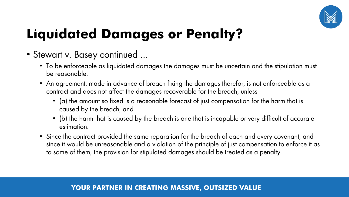

# **Liquidated Damages or Penalty?**

- Stewart v. Basey continued …
	- To be enforceable as liquidated damages the damages must be uncertain and the stipulation must be reasonable.
	- An agreement, made in advance of breach fixing the damages therefor, is not enforceable as a contract and does not affect the damages recoverable for the breach, unless
		- (a) the amount so fixed is a reasonable forecast of just compensation for the harm that is caused by the breach, and
		- (b) the harm that is caused by the breach is one that is incapable or very difficult of accurate estimation.
	- Since the contract provided the same reparation for the breach of each and every covenant, and since it would be unreasonable and a violation of the principle of just compensation to enforce it as to some of them, the provision for stipulated damages should be treated as a penalty.